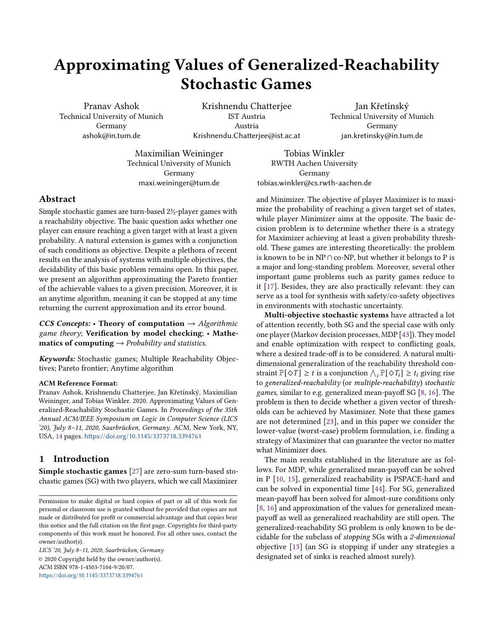# Approximating Values of Generalized-Reachability Stochastic Games

Pranav Ashok Technical University of Munich Germany ashok@in.tum.de

Krishnendu Chatterjee IST Austria Austria Krishnendu.Chatterjee@ist.ac.at

Jan Křetínský Technical University of Munich Germany jan.kretinsky@in.tum.de

Maximilian Weininger Technical University of Munich Germany maxi.weininger@tum.de

Tobias Winkler RWTH Aachen University Germany tobias.winkler@cs.rwth-aachen.de

# Abstract

Simple stochastic games are turn-based 2½-player games with a reachability objective. The basic question asks whether one player can ensure reaching a given target with at least a given probability. A natural extension is games with a conjunction of such conditions as objective. Despite a plethora of recent results on the analysis of systems with multiple objectives, the decidability of this basic problem remains open. In this paper, we present an algorithm approximating the Pareto frontier of the achievable values to a given precision. Moreover, it is an anytime algorithm, meaning it can be stopped at any time returning the current approximation and its error bound.

CCS Concepts: • Theory of computation  $\rightarrow$  Algorithmic game theory; Verification by model checking; • Mathematics of computing  $\rightarrow$  Probability and statistics.

Keywords: Stochastic games; Multiple Reachability Objectives; Pareto frontier; Anytime algorithm

## ACM Reference Format:

Pranav Ashok, Krishnendu Chatterjee, Jan Křetínský, Maximilian Weininger, and Tobias Winkler. 2020. Approximating Values of Generalized-Reachability Stochastic Games. In Proceedings of the 35th Annual ACM/IEEE Symposium on Logic in Computer Science (LICS '20), July 8–11, 2020, Saarbrücken, Germany. ACM, New York, NY, USA, [14](#page-13-0) pages. <https://doi.org/10.1145/3373718.3394761>

# 1 Introduction

Simple stochastic games [\[27\]](#page-13-1) are zero-sum turn-based stochastic games (SG) with two players, which we call Maximizer

LICS '20, July 8–11, 2020, Saarbrücken, Germany © 2020 Copyright held by the owner/author(s). ACM ISBN 978-1-4503-7104-9/20/07. <https://doi.org/10.1145/3373718.3394761>

and Minimizer. The objective of player Maximizer is to maximize the probability of reaching a given target set of states, while player Minimizer aims at the opposite. The basic decision problem is to determine whether there is a strategy for Maximizer achieving at least a given probability threshold. These games are interesting theoretically: the problem is known to be in NP ∩ co-NP, but whether it belongs to P is a major and long-standing problem. Moreover, several other important game problems such as parity games reduce to it [\[17\]](#page-13-2). Besides, they are also practically relevant: they can serve as a tool for synthesis with safety/co-safety objectives in environments with stochastic uncertainty.

Multi-objective stochastic systems have attracted a lot of attention recently, both SG and the special case with only one player (Markov decision processes, MDP [\[43\]](#page-13-3)). They model and enable optimization with respect to conflicting goals, where a desired trade-off is to be considered. A natural multidimensional generalization of the reachability threshold constraint  $\mathbb{P}[\diamondsuit T] \geq t$  is a conjunction  $\bigwedge_i \mathbb{P}[\diamondsuit T_i] \geq t_i$  giving rise to generalized-reachability (or multiple-reachability) stochastic games, similar to e.g. generalized mean-payoff SG [\[8,](#page-12-0) [16\]](#page-13-4). The problem is then to decide whether a given vector of thresholds can be achieved by Maximizer. Note that these games are not determined [\[23\]](#page-13-5), and in this paper we consider the lower-value (worst-case) problem formulation, i.e. finding a strategy of Maximizer that can guarantee the vector no matter what Minimizer does.

The main results established in the literature are as follows. For MDP, while generalized mean-payoff can be solved in P [\[10,](#page-13-6) [15\]](#page-13-7), generalized reachability is PSPACE-hard and can be solved in exponential time [\[44\]](#page-13-8). For SG, generalized mean-payoff has been solved for almost-sure conditions only [\[8,](#page-12-0) [16\]](#page-13-4) and approximation of the values for generalized meanpayoff as well as generalized reachability are still open. The generalized-reachability SG problem is only known to be decidable for the subclass of stopping SGs with a 2-dimensional objective [\[13\]](#page-13-9) (an SG is stopping if under any strategies a designated set of sinks is reached almost surely).

Permission to make digital or hard copies of part or all of this work for personal or classroom use is granted without fee provided that copies are not made or distributed for profit or commercial advantage and that copies bear this notice and the full citation on the first page. Copyrights for third-party components of this work must be honored. For all other uses, contact the owner/author(s).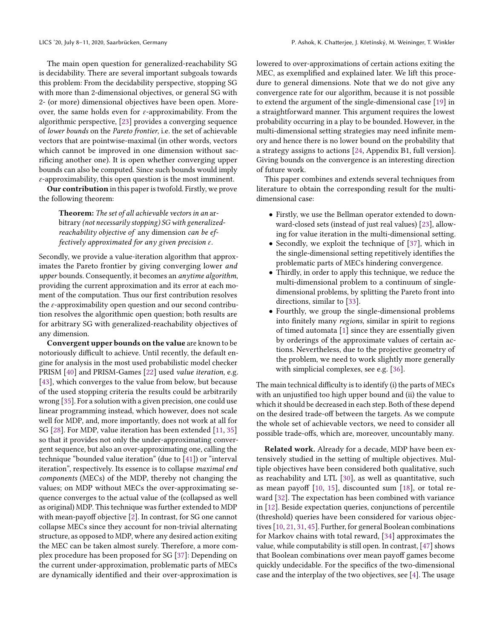The main open question for generalized-reachability SG is decidability. There are several important subgoals towards this problem: From the decidability perspective, stopping SG with more than 2-dimensional objectives, or general SG with 2- (or more) dimensional objectives have been open. Moreover, the same holds even for  $\varepsilon$ -approximability. From the algorithmic perspective, [\[23\]](#page-13-5) provides a converging sequence of lower bounds on the Pareto frontier, i.e. the set of achievable vectors that are pointwise-maximal (in other words, vectors which cannot be improved in one dimension without sacrificing another one). It is open whether converging upper bounds can also be computed. Since such bounds would imply  $\varepsilon$ -approximability, this open question is the most imminent.

Our contribution in this paper is twofold. Firstly, we prove the following theorem:

Theorem: The set of all achievable vectors in an arbitrary (not necessarily stopping) SG with generalizedreachability objective of any dimension can be effectively approximated for any given precision  $\varepsilon$ .

Secondly, we provide a value-iteration algorithm that approximates the Pareto frontier by giving converging lower and upper bounds. Consequently, it becomes an anytime algorithm, providing the current approximation and its error at each moment of the computation. Thus our first contribution resolves the  $\varepsilon$ -approximability open question and our second contribution resolves the algorithmic open question; both results are for arbitrary SG with generalized-reachability objectives of any dimension.

Convergent upper bounds on the value are known to be notoriously difficult to achieve. Until recently, the default engine for analysis in the most used probabilistic model checker PRISM [\[40\]](#page-13-10) and PRISM-Games [\[22\]](#page-13-11) used value iteration, e.g. [\[43\]](#page-13-3), which converges to the value from below, but because of the used stopping criteria the results could be arbitrarily wrong [\[35\]](#page-13-12). For a solution with a given precision, one could use linear programming instead, which however, does not scale well for MDP, and, more importantly, does not work at all for SG [\[28\]](#page-13-13). For MDP, value iteration has been extended [\[11,](#page-13-14) [35\]](#page-13-12) so that it provides not only the under-approximating convergent sequence, but also an over-approximating one, calling the technique "bounded value iteration" (due to [\[41\]](#page-13-15)) or "interval iteration", respectively. Its essence is to collapse maximal end components (MECs) of the MDP, thereby not changing the values; on MDP without MECs the over-approximating sequence converges to the actual value of the (collapsed as well as original) MDP. This technique was further extended to MDP with mean-payoff objective [\[2\]](#page-12-1). In contrast, for SG one cannot collapse MECs since they account for non-trivial alternating structure, as opposed to MDP, where any desired action exiting the MEC can be taken almost surely. Therefore, a more complex procedure has been proposed for SG [\[37\]](#page-13-16): Depending on the current under-approximation, problematic parts of MECs are dynamically identified and their over-approximation is

lowered to over-approximations of certain actions exiting the MEC, as exemplified and explained later. We lift this procedure to general dimensions. Note that we do not give any convergence rate for our algorithm, because it is not possible to extend the argument of the single-dimensional case [\[19\]](#page-13-17) in a straightforward manner. This argument requires the lowest probability occurring in a play to be bounded. However, in the multi-dimensional setting strategies may need infinite memory and hence there is no lower bound on the probability that a strategy assigns to actions [\[24,](#page-13-18) Appendix B1, full version]. Giving bounds on the convergence is an interesting direction of future work.

This paper combines and extends several techniques from literature to obtain the corresponding result for the multidimensional case:

- Firstly, we use the Bellman operator extended to downward-closed sets (instead of just real values) [\[23\]](#page-13-5), allowing for value iteration in the multi-dimensional setting.
- Secondly, we exploit the technique of [\[37\]](#page-13-16), which in the single-dimensional setting repetitively identifies the problematic parts of MECs hindering convergence.
- Thirdly, in order to apply this technique, we reduce the multi-dimensional problem to a continuum of singledimensional problems, by splitting the Pareto front into directions, similar to [\[33\]](#page-13-19).
- Fourthly, we group the single-dimensional problems into finitely many regions, similar in spirit to regions of timed automata [\[1\]](#page-12-2) since they are essentially given by orderings of the approximate values of certain actions. Nevertheless, due to the projective geometry of the problem, we need to work slightly more generally with simplicial complexes, see e.g. [\[36\]](#page-13-20).

The main technical difficulty is to identify (i) the parts of MECs with an unjustified too high upper bound and (ii) the value to which it should be decreased in each step. Both of these depend on the desired trade-off between the targets. As we compute the whole set of achievable vectors, we need to consider all possible trade-offs, which are, moreover, uncountably many.

Related work. Already for a decade, MDP have been extensively studied in the setting of multiple objectives. Multiple objectives have been considered both qualitative, such as reachability and LTL [\[30\]](#page-13-21), as well as quantitative, such as mean payoff [\[10,](#page-13-6) [15\]](#page-13-7), discounted sum [\[18\]](#page-13-22), or total reward [\[32\]](#page-13-23). The expectation has been combined with variance in [\[12\]](#page-13-24). Beside expectation queries, conjunctions of percentile (threshold) queries have been considered for various objectives [\[10,](#page-13-6) [21,](#page-13-25) [31,](#page-13-26) [45\]](#page-13-27). Further, for general Boolean combinations for Markov chains with total reward, [\[34\]](#page-13-28) approximates the value, while computability is still open. In contrast, [\[47\]](#page-13-29) shows that Boolean combinations over mean payoff games become quickly undecidable. For the specifics of the two-dimensional case and the interplay of the two objectives, see [\[4\]](#page-12-3). The usage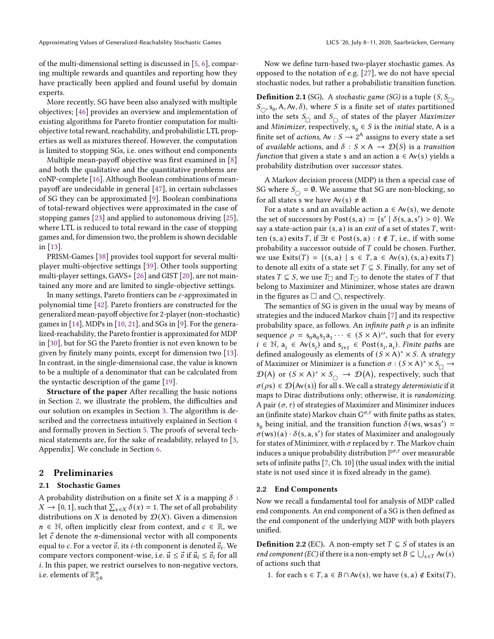of the multi-dimensional setting is discussed in [\[5,](#page-12-4) [6\]](#page-12-5), comparing multiple rewards and quantiles and reporting how they have practically been applied and found useful by domain experts.

More recently, SG have been also analyzed with multiple objectives; [\[46\]](#page-13-30) provides an overview and implementation of existing algorithms for Pareto frontier computation for multiobjective total reward, reachability, and probabilistic LTL properties as well as mixtures thereof. However, the computation is limited to stopping SGs, i.e. ones without end components

Multiple mean-payoff objective was first examined in [\[8\]](#page-12-0) and both the qualitative and the quantitative problems are coNP-complete [\[16\]](#page-13-4). Although Boolean combinations of meanpayoff are undecidable in general [\[47\]](#page-13-29), in certain subclasses of SG they can be approximated [\[9\]](#page-12-6). Boolean combinations of total-reward objectives were approximated in the case of stopping games [\[23\]](#page-13-5) and applied to autonomous driving [\[25\]](#page-13-31), where LTL is reduced to total reward in the case of stopping games and, for dimension two, the problem is shown decidable in [\[13\]](#page-13-9).

PRISM-Games [\[38\]](#page-13-32) provides tool support for several multiplayer multi-objective settings [\[39\]](#page-13-33). Other tools supporting multi-player settings, GAVS+ [\[26\]](#page-13-34) and GIST [\[20\]](#page-13-35), are not maintained any more and are limited to single-objective settings.

In many settings, Pareto frontiers can be  $\varepsilon$ -approximated in polynomial time [\[42\]](#page-13-36). Pareto frontiers are constructed for the generalized mean-payoff objective for 2-player (non-stochastic) games in [\[14\]](#page-13-37), MDPs in [\[10,](#page-13-6) [21\]](#page-13-25), and SGs in [\[9\]](#page-12-6). For the generalized-reachability, the Pareto frontier is approximated for MDP in [\[30\]](#page-13-21), but for SG the Pareto frontier is not even known to be given by finitely many points, except for dimension two [\[13\]](#page-13-9). In contrast, in the single-dimensional case, the value is known to be a multiple of a denominator that can be calculated from the syntactic description of the game [\[19\]](#page-13-17).

Structure of the paper After recalling the basic notions in Section [2,](#page-2-0) we illustrate the problem, the difficulties and our solution on examples in Section [3.](#page-4-0) The algorithm is described and the correctness intuitively explained in Section [4](#page-7-0) and formally proven in Section [5.](#page-11-0) The proofs of several technical statements are, for the sake of readability, relayed to [\[3,](#page-12-7) Appendix]. We conclude in Section [6.](#page-12-8)

## <span id="page-2-0"></span>2 Preliminaries

## 2.1 Stochastic Games

A probability distribution on a finite set X is a mapping  $\delta$ :  $X \to [0, 1]$ , such that  $\sum_{x \in X} \delta(x) = 1$ . The set of all probability distributions on X is denoted by  $\mathcal{D}(X)$ . Given a dimension  $n \in \mathbb{N}$ , often implicitly clear from context, and  $c \in \mathbb{R}$ , we let  $\vec{c}$  denote the *n*-dimensional vector with all components equal to c. For a vector  $\vec{v}$ , its *i*-th component is denoted  $\vec{v}_i$ . We compare vectors component-wise, i.e.  $\vec{u} \leq \vec{v}$  if  $\vec{u}_i \leq \vec{v}_i$  for all . In this paper, we restrict ourselves to non-negative vectors, i.e. elements of  $\mathbb{R}^n_{\geq 0}$ 

Now we define turn-based two-player stochastic games. As opposed to the notation of e.g. [\[27\]](#page-13-1), we do not have special stochastic nodes, but rather a probabilistic transition function.

**Definition 2.1** (SG). A stochastic game (SG) is a tuple  $(S, S_{\Box})$  $S_{\bigcirc}$ ,  $S_0$ , A, Av,  $\delta$ ), where S is a finite set of states partitioned into the sets  $S_{\Box}$  and  $S_{\bigcirc}$  of states of the player Maximizer and *Minimizer*, respectively,  $s_0 \in S$  is the *initial* state, A is a finite set of *actions*, Av :  $S \rightarrow 2^A$  assigns to every state a set of available actions, and  $\delta : S \times A \rightarrow \mathcal{D}(S)$  is a transition function that given a state s and an action  $a \in Av(s)$  yields a probability distribution over successor states.

A Markov decision process (MDP) is then a special case of SG where  $S_{\bigcirc} = \emptyset$ . We assume that SG are non-blocking, so for all states s we have  $Av(s) \neq \emptyset$ .

For a state s and an available action  $a \in Av(s)$ , we denote the set of successors by Post(s, a)  $:= \{s' | \delta(s, a, s') > 0\}$ . We say a state-action pair  $(s, a)$  is an *exit* of a set of states  $T$ , written (s, a) exits T, if  $\exists t \in Post(s, a) : t \notin T$ , i.e., if with some probability a successor outside of  $T$  could be chosen. Further, we use Exits(T) = {(s, a) | s  $\in$  T, a  $\in$  Av(s), (s, a) exits T} to denote all exits of a state set  $T \subseteq S$ . Finally, for any set of states  $T \subseteq S$ , we use  $T_{\square}$  and  $T_{\square}$  to denote the states of T that belong to Maximizer and Minimizer, whose states are drawn in the figures as  $\Box$  and  $\bigcirc$ , respectively.

The semantics of SG is given in the usual way by means of strategies and the induced Markov chain [\[7\]](#page-12-9) and its respective probability space, as follows. An *infinite path*  $\rho$  is an infinite sequence  $\rho = s_0 a_0 s_1 a_1 \cdots \in (S \times A)^\omega$ , such that for every  $i \in \mathbb{N}$ ,  $a_i \in Av(s_i)$  and  $s_{i+1} \in Post(s_i, a_i)$ . Finite paths are defined analogously as elements of  $(S \times A)^* \times S$ . A strategy of Maximizer or Minimizer is a function  $\sigma : (S \times A)^* \times S_{\square} \rightarrow$  $\mathcal{D}(\mathsf{A})$  or  $(S \times \mathsf{A})^* \times S_{\bigcirc} \to \mathcal{D}(\mathsf{A})$ , respectively, such that  $\sigma(\rho s) \in \mathcal{D}(\mathsf{Av}(s))$  for all s. We call a strategy deterministic if it maps to Dirac distributions only; otherwise, it is randomizing. A pair  $(\sigma, \tau)$  of strategies of Maximizer and Minimizer induces an (infinite state) Markov chain  $G^{\sigma,\tau}$  with finite paths as states.  $s_0$  being initial, and the transition function  $\delta$ (ws, wsas') =  $\sigma$ (ws)(a)  $\cdot \delta$ (s, a, s') for states of Maximizer and analogously for states of Minimizer, with  $\sigma$  replaced by  $\tau$ . The Markov chain induces a unique probability distribution  $\mathbb{P}^{\sigma,\tau}$  over measurable sets of infinite paths [\[7,](#page-12-9) Ch. 10] (the usual index with the initial state is not used since it is fixed already in the game).

#### 2.2 End Components

Now we recall a fundamental tool for analysis of MDP called end components. An end component of a SG is then defined as the end component of the underlying MDP with both players unified.

**Definition 2.2** (EC). A non-empty set  $T \subseteq S$  of states is an *end component (EC)* if there is a non-empty set  $B \subseteq \bigcup_{s \in T} Av(s)$ of actions such that

1. for each  $s \in T$ ,  $a \in B \cap Av(s)$ , we have  $(s, a) \notin Ext(s, T)$ ,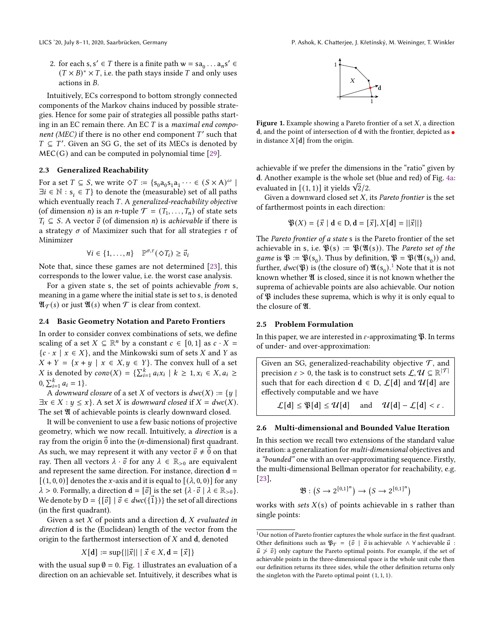2. for each  $s, s' \in T$  there is a finite path  $w = sa_0 \dots a_n s' \in T$  $(T \times B)^* \times T$ , i.e. the path stays inside T and only uses actions in  $B$ .

Intuitively, ECs correspond to bottom strongly connected components of the Markov chains induced by possible strategies. Hence for some pair of strategies all possible paths starting in an EC remain there. An EC  $T$  is a *maximal end compo*nent (MEC) if there is no other end component  $T'$  such that  $T \subseteq T'$ . Given an SG G, the set of its MECs is denoted by  $MEC(G)$  and can be computed in polynomial time [\[29\]](#page-13-38).

#### 2.3 Generalized Reachability

For a set  $T \subseteq S$ , we write  $\Diamond T := \{s_0 a_0 s_1 a_1 \cdots \in (S \times A)^{\omega} \mid$  $\exists i \in \mathbb{N} : s_i \in T$ } to denote the (measurable) set of all paths which eventually reach  $T$ . A generalized-reachability objective (of dimension *n*) is an *n*-tuple  $\mathcal{T} = (T_1, \ldots, T_n)$  of state sets  $T_i \subseteq S$ . A vector  $\vec{v}$  (of dimension *n*) is *achievable* if there is a strategy  $\sigma$  of Maximizer such that for all strategies  $\tau$  of Minimizer

$$
\forall i \in \{1, \ldots, n\} \quad \mathbb{P}^{\sigma, \tau}(\diamondsuit T_i) \geq \vec{v}_i
$$

Note that, since these games are not determined [\[23\]](#page-13-5), this corresponds to the lower value, i.e. the worst case analysis.

For a given state s, the set of points achievable from s, meaning in a game where the initial state is set to s, is denoted  $\mathfrak{A}_{\mathcal{T}}(s)$  or just  $\mathfrak{A}(s)$  when  $\mathcal{T}$  is clear from context.

## 2.4 Basic Geometry Notation and Pareto Frontiers

In order to consider convex combinations of sets, we define scaling of a set  $X \subseteq \mathbb{R}^n$  by a constant  $c \in [0,1]$  as  $c \cdot X =$  ${c \cdot x \mid x \in X}$ , and the Minkowski sum of sets X and Y as  $X + Y = \{x + y \mid x \in X, y \in Y\}$ . The convex hull of a set *X* is denoted by  $conv(X) = {\sum_{i=1}^{k} a_i x_i \mid k \ge 1, x_i \in X, a_i \ge 1}$  $0, \sum_{i=1}^{k} a_i = 1$ .

A downward closure of a set X of vectors is  $dwc(X) := \{y \mid$  $\exists x \in X : y \leq x$ . A set X is downward closed if  $X = d$ wc $(X)$ . The set  $\mathfrak A$  of achievable points is clearly downward closed.

It will be convenient to use a few basic notions of projective geometry, which we now recall. Intuitively, a direction is a ray from the origin  $\vec{0}$  into the (*n*-dimensional) first quadrant. As such, we may represent it with any vector  $\vec{v} \neq \vec{0}$  on that ray. Then all vectors  $\lambda \cdot \vec{v}$  for any  $\lambda \in \mathbb{R}_{>0}$  are equivalent and represent the same direction. For instance, direction  $\mathbf{d} =$  $[(1, 0, 0)]$  denotes the x-axis and it is equal to  $[(\lambda, 0, 0)]$  for any  $\lambda > 0$ . Formally, a direction  $\mathbf{d} = [\vec{v}]$  is the set  $\{\lambda \cdot \vec{v} \mid \lambda \in \mathbb{R}_{>0}\}.$ We denote by  $D = \{ [\vec{v}] \mid \vec{v} \in dwc(\{\vec{1}\}) \}$  the set of all directions (in the first quadrant).

Given a set  $X$  of points and a direction  $d$ ,  $X$  evaluated in direction d is the (Euclidean) length of the vector from the origin to the farthermost intersection of  $X$  and  $d$ , denoted

$$
X[\mathbf{d}] := \sup\{||\vec{x}|| \mid \vec{x} \in X, \mathbf{d} = [\vec{x}]\}
$$

with the usual sup  $\emptyset = 0$ . Fig. [1](#page-3-0) illustrates an evaluation of a direction on an achievable set. Intuitively, it describes what is



<span id="page-3-0"></span>Figure 1. Example showing a Pareto frontier of a set  $X$ , a direction d, and the point of intersection of d with the frontier, depicted as  $\bullet$ in distance  $X[d]$  from the origin.

achievable if we prefer the dimensions in the "ratio" given by d. Another example is the whole set (blue and red) of Fig. [4a:](#page-5-0) **a**. Another example is the whole se<br>evaluated in  $[(1, 1)]$  it yields  $\sqrt{2}/2$ .

Given a downward closed set  $X$ , its Pareto frontier is the set of farthermost points in each direction:

$$
\mathfrak{P}(X) = \{ \vec{x} \mid \mathbf{d} \in \mathsf{D}, \mathbf{d} = [\vec{x}], X[\mathbf{d}] = | |\vec{x}| \}
$$

The Pareto frontier of a state s is the Pareto frontier of the set achievable in s, i.e.  $\mathfrak{P}(s) := \mathfrak{P}(\mathfrak{A}(s))$ . The *Pareto set of the* game is  $\mathfrak{P} := \mathfrak{P}(\mathsf{s}_0)$ . Thus by definition,  $\mathfrak{P} = \mathfrak{P}(\mathfrak{A}(\mathsf{s}_0))$  and, further,  $dwc(\mathfrak{B})$  is (the closure of)  $\mathfrak{A}(s_0)$ .<sup>[1](#page-3-1)</sup> Note that it is not known whether  $\mathfrak A$  is closed, since it is not known whether the suprema of achievable points are also achievable. Our notion of  $\mathfrak P$  includes these suprema, which is why it is only equal to the closure of  $\mathfrak{A}$ .

#### <span id="page-3-3"></span>2.5 Problem Formulation

In this paper, we are interested in  $\varepsilon$ -approximating  $\mathfrak{P}$ . In terms of under- and over-approximation:

Given an SG, generalized-reachability objective  $\mathcal T$ , and precision  $\varepsilon > 0$ , the task is to construct sets  $\mathcal{L}, \mathcal{U} \subseteq \mathbb{R}^{|\mathcal{T}|}$ such that for each direction  $d \in D$ ,  $\mathcal{L}[d]$  and  $\mathcal{U}[d]$  are effectively computable and we have

 $\mathcal{L}[\mathbf{d}] \leq \mathfrak{P}[\mathbf{d}] \leq \mathcal{U}[\mathbf{d}]$  and  $\mathcal{U}[\mathbf{d}] - \mathcal{L}[\mathbf{d}] < \varepsilon$ .

#### <span id="page-3-2"></span>2.6 Multi-dimensional and Bounded Value Iteration

In this section we recall two extensions of the standard value iteration: a generalization for multi-dimensional objectives and a "bounded" one with an over-approximating sequence. Firstly, the multi-dimensional Bellman operator for reachability, e.g. [\[23\]](#page-13-5),

$$
\mathfrak{B}: (S \to 2^{[0,1]^n}) \to (S \to 2^{[0,1]^n})
$$

works with sets  $X(s)$  of points achievable in s rather than single points:

<span id="page-3-1"></span><sup>&</sup>lt;sup>1</sup>Our notion of Pareto frontier captures the whole surface in the first quadrant. Other definitions such as  $\mathfrak{P}_{\mathcal{T}} = {\vec{v} \mid \vec{v} \text{ is achievable } \wedge \forall \text{ achievable } \vec{u}$ :  $\vec{u} \not> \vec{v}$ } only capture the Pareto optimal points. For example, if the set of achievable points in the three-dimensional space is the whole unit cube then our definition returns its three sides, while the other definition returns only the singleton with the Pareto optimal point (1, 1, 1).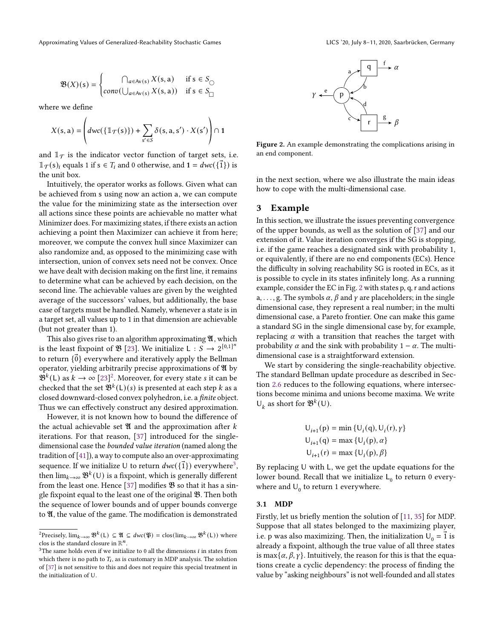where we define

$$
X(s, a) = \left( dwc(\{\mathbb{1}_{\mathcal{T}}(s)\}) + \sum_{s' \in S} \delta(s, a, s') \cdot X(s') \right) \cap 1
$$

and  $\mathbb{I}_{\mathcal{T}}$  is the indicator vector function of target sets, i.e.  $\mathbb{1}_{\mathcal{T}}(s)$  equals 1 if  $s \in T_i$  and 0 otherwise, and  $1 = dwc(\{\vec{1}\})$  is the unit box.

Intuitively, the operator works as follows. Given what can be achieved from s using now an action a, we can compute the value for the minimizing state as the intersection over all actions since these points are achievable no matter what Minimizer does. For maximizing states, if there exists an action achieving a point then Maximizer can achieve it from here; moreover, we compute the convex hull since Maximizer can also randomize and, as opposed to the minimizing case with intersection, union of convex sets need not be convex. Once we have dealt with decision making on the first line, it remains to determine what can be achieved by each decision, on the second line. The achievable values are given by the weighted average of the successors' values, but additionally, the base case of targets must be handled. Namely, whenever a state is in a target set, all values up to 1 in that dimension are achievable (but not greater than 1).

This also gives rise to an algorithm approximating  $\mathfrak{A}$ , which is the least fixpoint of  $\mathfrak{B}$  [\[23\]](#page-13-5). We initialize L :  $S \rightarrow 2^{[0,1]^n}$ to return  $\{\vec{0}\}$  everywhere and iteratively apply the Bellman operator, yielding arbitrarily precise approximations of  $\mathfrak V$  by  $\mathfrak{B}^k(L)$  as  $k \to \infty$  [\[23\]](#page-13-5)<sup>[2](#page-4-1)</sup>. Moreover, for every state *s* it can be checked that the set  $\mathfrak{B}^k(L)(s)$  is presented at each step k as a closed downward-closed convex polyhedron, i.e. a finite object. Thus we can effectively construct any desired approximation.

However, it is not known how to bound the difference of the actual achievable set  $\mathfrak A$  and the approximation after  $k$ iterations. For that reason, [\[37\]](#page-13-16) introduced for the singledimensional case the bounded value iteration (named along the tradition of [\[41\]](#page-13-15)), a way to compute also an over-approximating sequence. If we initialize U to return  $dwc(\{\vec{1}\})$  everywhere<sup>[3](#page-4-2)</sup>, then  $\lim_{k\to\infty} \mathfrak{B}^k(\mathsf{U})$  is a fixpoint, which is generally different from the least one. Hence [\[37\]](#page-13-16) modifies  $\mathfrak B$  so that it has a single fixpoint equal to the least one of the original  $\mathfrak{B}$ . Then both the sequence of lower bounds and of upper bounds converge to  $\mathfrak{A}$ , the value of the game. The modification is demonstrated

<span id="page-4-3"></span>

Figure 2. An example demonstrating the complications arising in an end component.

in the next section, where we also illustrate the main ideas how to cope with the multi-dimensional case.

#### <span id="page-4-0"></span>3 Example

In this section, we illustrate the issues preventing convergence of the upper bounds, as well as the solution of [\[37\]](#page-13-16) and our extension of it. Value iteration converges if the SG is stopping, i.e. if the game reaches a designated sink with probability 1, or equivalently, if there are no end components (ECs). Hence the difficulty in solving reachability SG is rooted in ECs, as it is possible to cycle in its states infinitely long. As a running example, consider the EC in Fig. [2](#page-4-3) with states p, q, r and actions a, ..., g. The symbols  $\alpha$ ,  $\beta$  and  $\gamma$  are placeholders; in the single dimensional case, they represent a real number; in the multi dimensional case, a Pareto frontier. One can make this game a standard SG in the single dimensional case by, for example, replacing  $\alpha$  with a transition that reaches the target with probability  $\alpha$  and the sink with probability 1 –  $\alpha$ . The multidimensional case is a straightforward extension.

We start by considering the single-reachability objective. The standard Bellman update procedure as described in Section [2.6](#page-3-2) reduces to the following equations, where intersections become minima and unions become maxima. We write  $\mathsf{U}_k$  as short for  $\mathfrak{B}^k(\mathsf{U})$ .

$$
U_{i+1}(p) = \min \{U_i(q), U_i(r), \gamma\}
$$
  
 
$$
U_{i+1}(q) = \max \{U_i(p), \alpha\}
$$
  
 
$$
U_{i+1}(r) = \max \{U_i(p), \beta\}
$$

By replacing U with L, we get the update equations for the lower bound. Recall that we initialize  $L_0$  to return 0 everywhere and  $U_0$  to return 1 everywhere.

#### <span id="page-4-4"></span>3.1 MDP

Firstly, let us briefly mention the solution of [\[11,](#page-13-14) [35\]](#page-13-12) for MDP. Suppose that all states belonged to the maximizing player, i.e. p was also maximizing. Then, the initialization  $U_0 = \vec{1}$  is already a fixpoint, although the true value of all three states is max $\{\alpha, \beta, \gamma\}$ . Intuitively, the reason for this is that the equations create a cyclic dependency: the process of finding the value by "asking neighbours" is not well-founded and all states

<span id="page-4-1"></span><sup>&</sup>lt;sup>2</sup>Precisely,  $\lim_{k\to\infty}$   $\mathfrak{B}^k(L) \subseteq \mathfrak{A} \subseteq dw(\mathfrak{P}) = \text{clos}(\lim_{k\to\infty} \mathfrak{B}^k(L))$  where clos is the standard closure in  $\mathbb{R}^n$ .

<span id="page-4-2"></span> $3$ The same holds even if we initialize to 0 all the dimensions  $i$  in states from which there is no path to  $T_i$ , as is customary in MDP analysis. The solution of [\[37\]](#page-13-16) is not sensitive to this and does not require this special treatment in the initialization of U.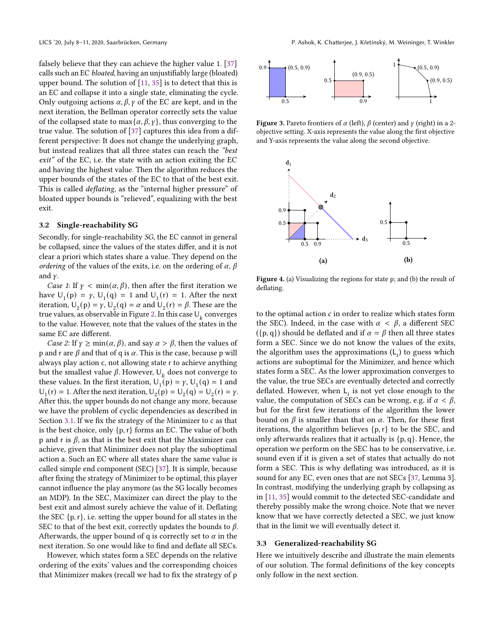falsely believe that they can achieve the higher value 1. [\[37\]](#page-13-16) calls such an EC bloated, having an unjustifiably large (bloated) upper bound. The solution of [\[11,](#page-13-14) [35\]](#page-13-12) is to detect that this is an EC and collapse it into a single state, eliminating the cycle. Only outgoing actions  $\alpha$ ,  $\beta$ ,  $\gamma$  of the EC are kept, and in the next iteration, the Bellman operator correctly sets the value of the collapsed state to max $\{\alpha, \beta, \gamma\}$ , thus converging to the true value. The solution of [\[37\]](#page-13-16) captures this idea from a different perspective: It does not change the underlying graph, but instead realizes that all three states can reach the "best exit" of the EC, i.e. the state with an action exiting the EC and having the highest value. Then the algorithm reduces the upper bounds of the states of the EC to that of the best exit. This is called deflating, as the "internal higher pressure" of bloated upper bounds is "relieved", equalizing with the best exit.

#### <span id="page-5-2"></span>3.2 Single-reachability SG

Secondly, for single-reachability SG, the EC cannot in general be collapsed, since the values of the states differ, and it is not clear a priori which states share a value. They depend on the ordering of the values of the exits, i.e. on the ordering of  $\alpha$ ,  $\beta$ and  $\gamma$ .

Case 1: If  $\gamma$  < min( $\alpha$ ,  $\beta$ ), then after the first iteration we have  $U_1(p) = \gamma$ ,  $U_1(q) = 1$  and  $U_1(r) = 1$ . After the next iteration,  $U_2(p) = \gamma$ ,  $U_2(q) = \alpha$  and  $U_2(r) = \beta$ . These are the true values, as observable in Figure [2.](#page-4-3) In this case  $\cup_k$  converges to the value. However, note that the values of the states in the same EC are different.

*Case 2*: If  $\gamma \ge \min(\alpha, \beta)$ , and say  $\alpha > \beta$ , then the values of p and r are  $\beta$  and that of q is  $\alpha$ . This is the case, because p will always play action c, not allowing state r to achieve anything but the smallest value  $\beta$ . However,  $\bigcup_k$  does not converge to these values. In the first iteration,  $U_1(p) = \gamma$ ,  $U_1(q) = 1$  and  $U_1(r) = 1$ . After the next iteration,  $U_2(p) = U_2(q) = U_2(r) = \gamma$ . After this, the upper bounds do not change any more, because we have the problem of cyclic dependencies as described in Section [3.1.](#page-4-4) If we fix the strategy of the Minimizer to c as that is the best choice, only  $\{p, r\}$  forms an EC. The value of both p and r is  $\beta$ , as that is the best exit that the Maximizer can achieve, given that Minimizer does not play the suboptimal action a. Such an EC where all states share the same value is called simple end component (SEC) [\[37\]](#page-13-16). It is simple, because after fixing the strategy of Minimizer to be optimal, this player cannot influence the play anymore (as the SG locally becomes an MDP). In the SEC, Maximizer can direct the play to the best exit and almost surely achieve the value of it. Deflating the SEC  $\{p, r\}$ , i.e. setting the upper bound for all states in the SEC to that of the best exit, correctly updates the bounds to  $\beta$ . Afterwards, the upper bound of q is correctly set to  $\alpha$  in the next iteration. So one would like to find and deflate all SECs.

However, which states form a SEC depends on the relative ordering of the exits' values and the corresponding choices that Minimizer makes (recall we had to fix the strategy of p

<span id="page-5-1"></span>

Figure 3. Pareto frontiers of  $\alpha$  (left),  $\beta$  (center) and  $\gamma$  (right) in a 2objective setting. X-axis represents the value along the first objective and Y-axis represents the value along the second objective.

<span id="page-5-0"></span>

Figure 4. (a) Visualizing the regions for state p; and (b) the result of deflating.

to the optimal action  $c$  in order to realize which states form the SEC). Indeed, in the case with  $\alpha < \beta$ , a different SEC ({p, q}) should be deflated and if  $\alpha = \beta$  then all three states form a SEC. Since we do not know the values of the exits, the algorithm uses the approximations  $(L<sub>i</sub>)$  to guess which actions are suboptimal for the Minimizer, and hence which states form a SEC. As the lower approximation converges to the value, the true SECs are eventually detected and correctly deflated. However, when  $L_i$  is not yet close enough to the value, the computation of SECs can be wrong, e.g. if  $\alpha < \beta$ , but for the first few iterations of the algorithm the lower bound on  $\beta$  is smaller than that on  $\alpha$ . Then, for these first iterations, the algorithm believes  $\{p, r\}$  to be the SEC, and only afterwards realizes that it actually is  $\{p, q\}$ . Hence, the operation we perform on the SEC has to be conservative, i.e. sound even if it is given a set of states that actually do not form a SEC. This is why deflating was introduced, as it is sound for any EC, even ones that are not SECs [\[37,](#page-13-16) Lemma 3]. In contrast, modifying the underlying graph by collapsing as in [\[11,](#page-13-14) [35\]](#page-13-12) would commit to the detected SEC-candidate and thereby possibly make the wrong choice. Note that we never know that we have correctly detected a SEC, we just know that in the limit we will eventually detect it.

#### <span id="page-5-3"></span>3.3 Generalized-reachability SG

Here we intuitively describe and illustrate the main elements of our solution. The formal definitions of the key concepts only follow in the next section.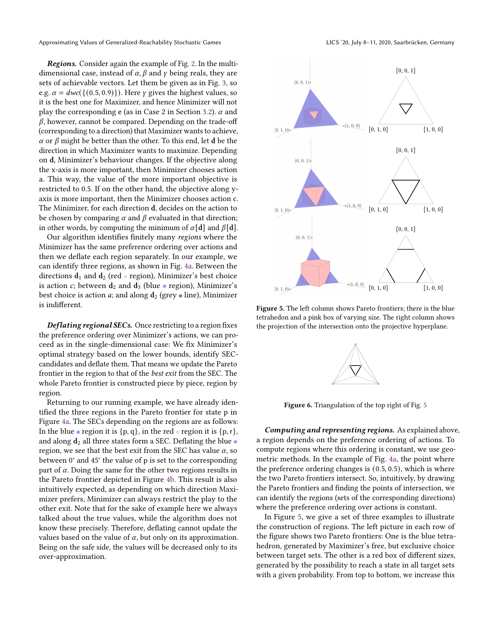Approximating Values of Generalized-Reachability Stochastic Games LICS '20, July 8–11, 2020, Saarbrücken, Germany

Regions. Consider again the example of Fig. [2.](#page-4-3) In the multidimensional case, instead of  $\alpha$ ,  $\beta$  and  $\gamma$  being reals, they are sets of achievable vectors. Let them be given as in Fig. [3,](#page-5-1) so e.g.  $\alpha = dwc({(0.5, 0.9)})$ . Here  $\gamma$  gives the highest values, so it is the best one for Maximizer, and hence Minimizer will not play the corresponding e (as in Case 2 in Section [3.2\)](#page-5-2).  $\alpha$  and  $\beta$ , however, cannot be compared. Depending on the trade-off (corresponding to a direction) that Maximizer wants to achieve,  $\alpha$  or  $\beta$  might be better than the other. To this end, let d be the direction in which Maximizer wants to maximize. Depending on d, Minimizer's behaviour changes. If the objective along the x-axis is more important, then Minimizer chooses action a. This way, the value of the more important objective is restricted to 0.5. If on the other hand, the objective along yaxis is more important, then the Minimizer chooses action c. The Minimizer, for each direction d, decides on the action to be chosen by comparing  $\alpha$  and  $\beta$  evaluated in that direction; in other words, by computing the minimum of  $\alpha[\mathbf{d}]$  and  $\beta[\mathbf{d}]$ .

Our algorithm identifies finitely many regions where the Minimizer has the same preference ordering over actions and then we deflate each region separately. In our example, we can identify three regions, as shown in Fig. [4a.](#page-5-0) Between the directions  $d_1$  and  $d_2$  (red • region), Minimizer's best choice is action c; between  $d_2$  and  $d_3$  (blue • region), Minimizer's best choice is action *a*; and along  $d_2$  (grey  $\bullet$  line), Minimizer is indifferent.

Deflating regional SECs. Once restricting to a region fixes the preference ordering over Minimizer's actions, we can proceed as in the single-dimensional case: We fix Minimizer's optimal strategy based on the lower bounds, identify SECcandidates and deflate them. That means we update the Pareto frontier in the region to that of the best exit from the SEC. The whole Pareto frontier is constructed piece by piece, region by region.

Returning to our running example, we have already identified the three regions in the Pareto frontier for state p in Figure [4a.](#page-5-0) The SECs depending on the regions are as follows: In the blue  $\bullet$  region it is {p, q}, in the red  $\bullet$  region it is {p, r}, and along  $d_2$  all three states form a SEC. Deflating the blue region, we see that the best exit from the SEC has value  $\alpha$ , so between 0° and 45° the value of p is set to the corresponding part of  $\alpha$ . Doing the same for the other two regions results in the Pareto frontier depicted in Figure [4b.](#page-5-0) This result is also intuitively expected, as depending on which direction Maximizer prefers, Minimizer can always restrict the play to the other exit. Note that for the sake of example here we always talked about the true values, while the algorithm does not know these precisely. Therefore, deflating cannot update the values based on the value of  $\alpha$ , but only on its approximation. Being on the safe side, the values will be decreased only to its over-approximation.

<span id="page-6-0"></span>

<span id="page-6-1"></span>Figure 5. The left column shows Pareto frontiers; there is the blue tetrahedon and a pink box of varying size. The right column shows the projection of the intersection onto the projective hyperplane.



Figure 6. Triangulation of the top right of Fig. [5](#page-6-0)

Computing and representing regions. As explained above, a region depends on the preference ordering of actions. To compute regions where this ordering is constant, we use geometric methods. In the example of Fig. [4a,](#page-5-0) the point where the preference ordering changes is (0.5, 0.5), which is where the two Pareto frontiers intersect. So, intuitively, by drawing the Pareto frontiers and finding the points of intersection, we can identify the regions (sets of the corresponding directions) where the preference ordering over actions is constant.

In Figure [5,](#page-6-0) we give a set of three examples to illustrate the construction of regions. The left picture in each row of the figure shows two Pareto frontiers: One is the blue tetrahedron, generated by Maximizer's free, but exclusive choice between target sets. The other is a red box of different sizes, generated by the possibility to reach a state in all target sets with a given probability. From top to bottom, we increase this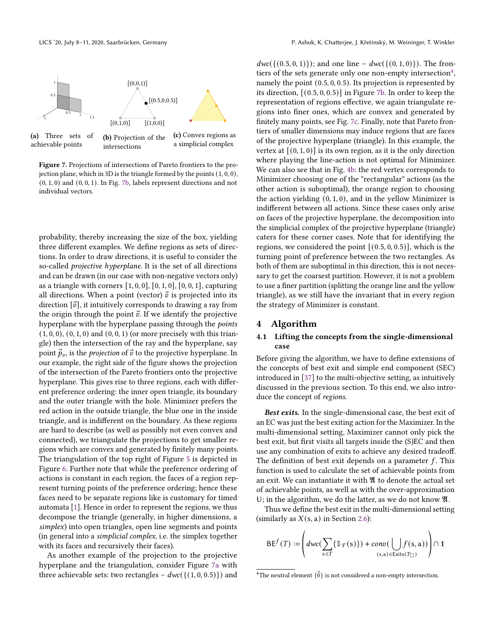<span id="page-7-1"></span>

Figure 7. Projections of intersections of Pareto frontiers to the projection plane, which in 3D is the triangle formed by the points (1, 0, 0), (0, 1, 0) and (0, 0, 1). In Fig. [7b,](#page-7-1) labels represent directions and not individual vectors.

intersections

probability, thereby increasing the size of the box, yielding three different examples. We define regions as sets of directions. In order to draw directions, it is useful to consider the so-called projective hyperplane. It is the set of all directions and can be drawn (in our case with non-negative vectors only) as a triangle with corners  $[1, 0, 0]$ ,  $[0, 1, 0]$ ,  $[0, 0, 1]$ , capturing all directions. When a point (vector)  $\vec{v}$  is projected into its direction  $[\vec{v}]$ , it intuitively corresponds to drawing a ray from the origin through the point  $\vec{v}$ . If we identify the projective hyperplane with the hyperplane passing through the points  $(1, 0, 0), (0, 1, 0)$  and  $(0, 0, 1)$  (or more precisely with this triangle) then the intersection of the ray and the hyperplane, say point  $\vec{p}_v$ , is the *projection* of  $\vec{v}$  to the projective hyperplane. In our example, the right side of the figure shows the projection of the intersection of the Pareto frontiers onto the projective hyperplane. This gives rise to three regions, each with different preference ordering: the inner open triangle, its boundary and the outer triangle with the hole. Minimizer prefers the red action in the outside triangle, the blue one in the inside triangle, and is indifferent on the boundary. As these regions are hard to describe (as well as possibly not even convex and connected), we triangulate the projections to get smaller regions which are convex and generated by finitely many points. The triangulation of the top right of Figure [5](#page-6-0) is depicted in Figure [6.](#page-6-1) Further note that while the preference ordering of actions is constant in each region, the faces of a region represent turning points of the preference ordering; hence these faces need to be separate regions like is customary for timed automata [\[1\]](#page-12-2). Hence in order to represent the regions, we thus decompose the triangle (generally, in higher dimensions, a simplex) into open triangles, open line segments and points (in general into a simplicial complex, i.e. the simplex together with its faces and recursively their faces).

As another example of the projection to the projective hyperplane and the triangulation, consider Figure [7a](#page-7-1) with three achievable sets: two rectangles –  $dwc({(1, 0, 0.5)})$  and

 $dwc({ (0.5, 0, 1) })$ ; and one line –  $dwc({ (0, 1, 0) })$ . The fron-tiers of the sets generate only one non-empty intersection<sup>[4](#page-7-2)</sup>. namely the point (0.5, 0, 0.5). Its projection is represented by its direction, [(0.5, 0, 0.5)] in Figure [7b.](#page-7-1) In order to keep the representation of regions effective, we again triangulate regions into finer ones, which are convex and generated by finitely many points, see Fig. [7c.](#page-7-1) Finally, note that Pareto frontiers of smaller dimensions may induce regions that are faces of the projective hyperplane (triangle). In this example, the vertex at  $[(0, 1, 0)]$  is its own region, as it is the only direction where playing the line-action is not optimal for Minimizer. We can also see that in Fig. [4b:](#page-5-0) the red vertex corresponds to Minimizer choosing one of the "rectangular" actions (as the other action is suboptimal), the orange region to choosing the action yielding (0, 1, 0), and in the yellow Minimizer is indifferent between all actions. Since these cases only arise on faces of the projective hyperplane, the decomposition into the simplicial complex of the projective hyperplane (triangle) caters for these corner cases. Note that for identifying the regions, we considered the point  $[(0.5, 0, 0.5)]$ , which is the turning point of preference between the two rectangles. As both of them are suboptimal in this direction, this is not necessary to get the coarsest partition. However, it is not a problem to use a finer partition (splitting the orange line and the yellow triangle), as we still have the invariant that in every region the strategy of Minimizer is constant.

## <span id="page-7-0"></span>4 Algorithm

## 4.1 Lifting the concepts from the single-dimensional case

Before giving the algorithm, we have to define extensions of the concepts of best exit and simple end component (SEC) introduced in [\[37\]](#page-13-16) to the multi-objective setting, as intuitively discussed in the previous section. To this end, we also introduce the concept of regions.

Best exits. In the single-dimensional case, the best exit of an EC was just the best exiting action for the Maximizer. In the multi-dimensional setting, Maximizer cannot only pick the best exit, but first visits all targets inside the (S)EC and then use any combination of exits to achieve any desired tradeoff. The definition of best exit depends on a parameter  $f$ . This function is used to calculate the set of achievable points from an exit. We can instantiate it with  $\mathfrak A$  to denote the actual set of achievable points, as well as with the over-approximation U; in the algorithm, we do the latter, as we do not know  $\mathfrak{A}$ .

Thus we define the best exit in the multi-dimensional setting (similarly as  $X(s, a)$  in Section [2.6\)](#page-3-2):

$$
\mathsf{BE}^f(T) := \left(dwc\left(\sum_{s \in T} \{1_{\mathcal{T}}(s)\}\right) + conv\left(\bigcup_{(s,a) \in \text{Exists}(T_{\Box})} f(s,a)\right)\right) \cap 1
$$

<span id="page-7-2"></span><sup>&</sup>lt;sup>4</sup>The neutral element  $\{\vec{0}\}$  is not considered a non-empty intersection.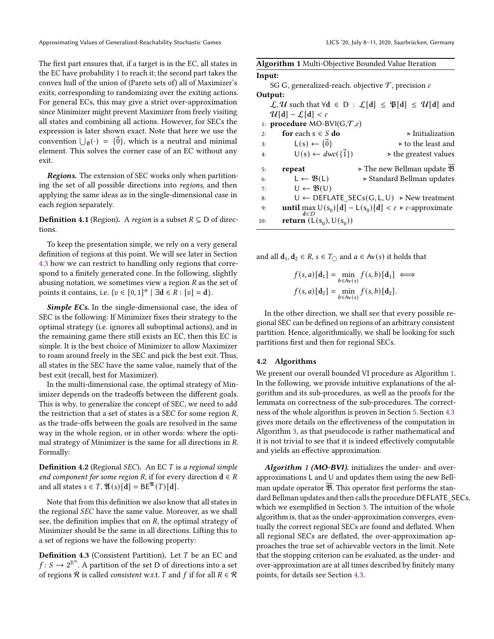The first part ensures that, if a target is in the EC, all states in the EC have probability 1 to reach it; the second part takes the convex hull of the union of (Pareto sets of) all of Maximizer's exits, corresponding to randomizing over the exiting actions. For general ECs, this may give a strict over-approximation since Minimizer might prevent Maximizer from freely visiting all states and combining all actions. However, for SECs the expression is later shown exact. Note that here we use the convention  $\bigcup_{\emptyset} (\cdot) = {\{\vec{0}\}}$ , which is a neutral and minimal element. This solves the corner case of an EC without any exit.

Regions. The extension of SEC works only when partitioning the set of all possible directions into regions, and then applying the same ideas as in the single-dimensional case in each region separately.

**Definition 4.1** (Region). A region is a subset  $R \subseteq D$  of directions.

To keep the presentation simple, we rely on a very general definition of regions at this point. We will see later in Section [4.3](#page-10-0) how we can restrict to handling only regions that correspond to a finitely generated cone. In the following, slightly abusing notation, we sometimes view a region  $R$  as the set of points it contains, i.e.  $\{v \in [0,1]^n \mid \exists \mathbf{d} \in \mathbb{R} : [v] = \mathbf{d}\}.$ 

Simple ECs. In the single-dimensional case, the idea of SEC is the following: If Minimizer fixes their strategy to the optimal strategy (i.e. ignores all suboptimal actions), and in the remaining game there still exists an EC, then this EC is simple. It is the best choice of Minimizer to allow Maximizer to roam around freely in the SEC and pick the best exit. Thus, all states in the SEC have the same value, namely that of the best exit (recall, best for Maximizer).

In the multi-dimensional case, the optimal strategy of Minimizer depends on the tradeoffs between the different goals. This is why, to generalize the concept of SEC, we need to add the restriction that a set of states is a SEC for some region *,* as the trade-offs between the goals are resolved in the same way in the whole region, or in other words: where the optimal strategy of Minimizer is the same for all directions in *.* Formally:

**Definition 4.2** (Regional SEC). An EC  $T$  is a regional simple end component for some region R, if for every direction  $d \in R$ and all states  $s \in T$ ,  $\mathfrak{A}(s)[d] = BE^{\mathfrak{A}}(T)[d].$ 

Note that from this definition we also know that all states in the regional *SEC* have the same value. Moreover, as we shall see, the definition implies that on *, the optimal strategy of* Minimizer should be the same in all directions. Lifting this to a set of regions we have the following property:

**Definition 4.3** (Consistent Partition). Let  $T$  be an EC and  $f: S \to 2^{\mathbb{R}^n}$ . A partition of the set D of directions into a set of regions  $\Re$  is called *consistent* w.r.t. *T* and *f* if for all  $R \in \Re$ 

<span id="page-8-0"></span>

| Algorithm 1 Multi-Objective Bounded Value Iteration                                                                  |
|----------------------------------------------------------------------------------------------------------------------|
| Input:                                                                                                               |
| SG G, generalized-reach. objective $\mathcal T$ , precision $\varepsilon$                                            |
| Output:                                                                                                              |
| $\mathcal{L}, \mathcal{U}$ such that $\forall d \in D : \mathcal{L}[d] \leq \mathfrak{P}[d] \leq \mathcal{U}[d]$ and |
| $\mathcal{U}[\mathbf{d}] - \mathcal{L}[\mathbf{d}] < \varepsilon$                                                    |
| 1: procedure MO-BVI( $G, \mathcal{T}, \varepsilon$ )                                                                 |
| for each $s \in S$ do<br>$\triangleright$ Initialization<br>2:                                                       |
| $L(s) \leftarrow {\vec{0}}$<br>$\triangleright$ to the least and<br>3:                                               |
| $U(s) \leftarrow dwc(\{\vec{1}\})$<br>$\triangleright$ the greatest values<br>4:                                     |
| $\triangleright$ The new Bellman update $\mathfrak B$<br>repeat<br>5:                                                |
| $L \leftarrow \mathfrak{B}(L)$<br>► Standard Bellman updates<br>6:                                                   |
| $U \leftarrow \mathfrak{B}(U)$<br>7:                                                                                 |
| $U \leftarrow$ DEFLATE_SECs(G, L, U) > New treatment<br>8:                                                           |
| <b>until</b> max $U(s_0)[d] - L(s_0)[d] < \varepsilon$ > $\varepsilon$ -approximate<br>9:<br>$d \in \mathcal{D}$     |
| return $(L(s_0), U(s_0))$<br>10:                                                                                     |

and all  $d_1, d_2 \in R$ ,  $s \in T_{\bigcirc}$  and  $a \in Av(s)$  it holds that

$$
f(s, a)[d_1] = \min_{b \in A_v(s)} f(s, b)[d_1] \iff
$$
  

$$
f(s, a)[d_2] = \min_{b \in A_v(s)} f(s, b)[d_2].
$$

In the other direction, we shall see that every possible regional SEC can be defined on regions of an arbitrary consistent partition. Hence, algorithmically, we shall be looking for such partitions first and then for regional SECs.

#### 4.2 Algorithms

We present our overall bounded VI procedure as Algorithm [1.](#page-8-0) In the following, we provide intuitive explanations of the algorithm and its sub-procedures, as well as the proofs for the lemmata on correctness of the sub-procedures. The correctness of the whole algorithm is proven in Section [5.](#page-11-0) Section [4.3](#page-10-0) gives more details on the effectiveness of the computation in Algorithm [3,](#page-9-0) as that pseudocode is rather mathematical and it is not trivial to see that it is indeed effectively computable and yields an effective approximation.

Algorithm [1](#page-8-0) (MO-BVI). initializes the under- and overapproximations L and U and updates them using the new Bellman update operator  $\overline{\mathfrak{B}}$ . This operator first performs the standard Bellman updates and then calls the procedure DEFLATE\_SECs, which we exemplified in Section [3.](#page-4-0) The intuition of the whole algorithm is, that as the under-approximation converges, eventually the correct regional SECs are found and deflated. When all regional SECs are deflated, the over-approximation approaches the true set of achievable vectors in the limit. Note that the stopping criterion can be evaluated, as the under- and over-approximation are at all times described by finitely many points, for details see Section [4.3.](#page-10-0)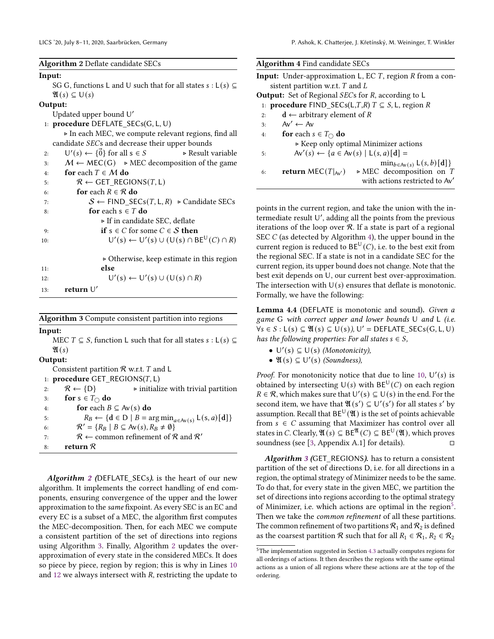<span id="page-9-1"></span> $A1 \cdot 2A$   $A2 \cdot 2A$ 

|        | Algorithm 2 Denate candidate SECs                                                  |
|--------|------------------------------------------------------------------------------------|
| Input: |                                                                                    |
|        | SG G, functions L and U such that for all states $s : L(s) \subseteq$              |
|        | $\mathfrak{A}(s) \subseteq U(s)$                                                   |
|        | Output:                                                                            |
|        | Updated upper bound U'                                                             |
|        | 1: procedure DEFLATE_SECs(G, L, U)                                                 |
|        | In each MEC, we compute relevant regions, find all                                 |
|        | candidate SECs and decrease their upper bounds                                     |
| 2:     | $U'(s) \leftarrow {\vec{0}}$ for all $s \in S$<br>$\triangleright$ Result variable |
| 3:     | $M \leftarrow \text{MEC}(G) \rightarrow \text{MEC decomposition of the game}$      |
| 4:     | for each $T \in M$ do                                                              |
| 5:     | $R \leftarrow$ GET_REGIONS(T, L)                                                   |
| 6:     | for each $R \in \mathcal{R}$ do                                                    |
| 7:     | $S \leftarrow$ FIND_SECs( <i>T</i> , L, <i>R</i> ) > Candidate SECs                |
| 8:     | for each $s \in T$ do                                                              |
|        | ► If in candidate SEC, deflate                                                     |
| 9:     | <b>if</b> $s \in C$ for some $C \in S$ <b>then</b>                                 |
| 10:    | $U'(s) \leftarrow U'(s) \cup (U(s) \cap BE^U(C) \cap R)$                           |
|        |                                                                                    |
|        | $\triangleright$ Otherwise, keep estimate in this region                           |
| 11:    | else                                                                               |
| 12:    | $U'(s) \leftarrow U'(s) \cup (U(s) \cap R)$                                        |
| 13:    | return $U'$                                                                        |
|        |                                                                                    |

<span id="page-9-0"></span>Algorithm 3 Compute consistent partition into regions

Input:

MEC  $T \subseteq S$ , function L such that for all states  $s : L(s) \subseteq$  $\mathfrak{A}(s)$ Output: Consistent partition  $R$  w.r.t.  $T$  and  $L$ 1: procedure GET\_REGIONS( $T$ , L) 2:  $R \leftarrow \{D\}$   $\rightarrow$  initialize with trivial partition 3: for  $s \in T_{\cap}$  do 4: for each  $B \subseteq Av(s)$  do 5:  $R_B \leftarrow \{d \in D \mid B = \arg \min_{a \in Av(s)} L(s, a)[d]\}$ 6:  $\mathcal{R}' = \{R_B \mid B \subseteq Av(s), R_B \neq \emptyset\}$ 7:  $R \leftarrow$  common refinement of  $R$  and  $R'$ 8: return R

Algorithm [2](#page-9-1) (DEFLATE\_SECs). is the heart of our new algorithm. It implements the correct handling of end components, ensuring convergence of the upper and the lower approximation to the same fixpoint. As every SEC is an EC and every EC is a subset of a MEC, the algorithm first computes the MEC-decomposition. Then, for each MEC we compute a consistent partition of the set of directions into regions using Algorithm [3.](#page-9-0) Finally, Algorithm [2](#page-9-1) updates the overapproximation of every state in the considered MECs. It does so piece by piece, region by region; this is why in Lines [10](#page-9-1) and [12](#page-9-1) we always intersect with *, restricting the update to* 

<span id="page-9-2"></span>

| <b>Input:</b> Under-approximation L, EC $T$ , region $R$ from a con-<br>sistent partition w.r.t. $T$ and $L$ |
|--------------------------------------------------------------------------------------------------------------|
|                                                                                                              |
|                                                                                                              |
| <b>Output:</b> Set of Regional <i>SECs</i> for $R$ , according to $L$                                        |
| 1: <b>procedure</b> FIND_SECs(L,T,R) $T \subseteq S$ , L, region R                                           |
| $d \leftarrow$ arbitrary element of R<br>2:                                                                  |
| $Av' \leftarrow Av$<br>3:                                                                                    |
| <b>for</b> each $s \in T_{\cap}$ <b>do</b><br>4:                                                             |
| $\triangleright$ Keep only optimal Minimizer actions                                                         |
| $Av'(s) \leftarrow \{a \in Av(s) \mid L(s, a)[d] =$<br>5:                                                    |
| $\min_{b \in Av(s)} L(s, b)[d]$                                                                              |
| $\triangleright$ MEC decomposition on T<br>return MEC( $T _{AV}$ )<br>6:                                     |
| with actions restricted to Av'                                                                               |

points in the current region, and take the union with the in--<br>termediate result ∪′, adding all the points from the previous iterations of the loop over  $R$ . If a state is part of a regional SEC  $C$  (as detected by Algorithm [4\)](#page-9-2), the upper bound in the current region is reduced to  $BE^{\cup}(C)$ , i.e. to the best exit from the regional SEC. If a state is not in a candidate SEC for the current region, its upper bound does not change. Note that the best exit depends on U, our current best over-approximation. The intersection with  $U(s)$  ensures that deflate is monotonic. Formally, we have the following:

<span id="page-9-4"></span>Lemma 4.4 (DEFLATE is monotonic and sound). Given a game G with correct upper and lower bounds U and L (i.e.  $\forall s \in S : L(s) \subseteq \mathfrak{A}(s) \subseteq U(s)$ , U' = DEFLATE\_SECs(G, L, U) has the following properties: For all states  $s \in S$ ,

- $U'(s) \subseteq U(s)$  (Monotonicity),
- $\mathfrak{A}(s) \subseteq U'(s)$  (Soundness),

*Proof.* For monotonicity notice that due to line [10,](#page-9-1)  $U'(s)$  is obtained by intersecting  $U(s)$  with  $BE^{U}(C)$  on each region  $R \in \mathcal{R}$ , which makes sure that  $U'(s) \subseteq U(s)$  in the end. For the second item, we have that  $\mathfrak{A}(s') \subseteq U'(s')$  for all states s' by assumption. Recall that  $\texttt{BE}^{\text{U}}(\mathfrak{A})$  is the set of points achievable from  $s \in C$  assuming that Maximizer has control over all states in C. Clearly,  $\mathfrak{A}(s) \subseteq BE^{\mathfrak{A}}(C) \subseteq BE^{\cup}(\mathfrak{A})$ , which proves soundness (see [\[3,](#page-12-7) Appendix A.1] for details).  $\square$ 

Algorithm [3](#page-9-0) (GET\_REGIONS). has to return a consistent partition of the set of directions D, i.e. for all directions in a region, the optimal strategy of Minimizer needs to be the same. To do that, for every state in the given MEC, we partition the set of directions into regions according to the optimal strategy of Minimizer, i.e. which actions are optimal in the region<sup>[5](#page-9-3)</sup>. Then we take the common refinement of all these partitions. The common refinement of two partitions  $\mathcal{R}_1$  and  $\mathcal{R}_2$  is defined as the coarsest partition R such that for all  $R_1 \in \mathcal{R}_1$ ,  $R_2 \in \mathcal{R}_2$ 

<span id="page-9-3"></span> ${}^{5}$  The implementation suggested in Section [4.3](#page-10-0) actually computes regions for all orderings of actions. It then describes the regions with the same optimal actions as a union of all regions where these actions are at the top of the ordering.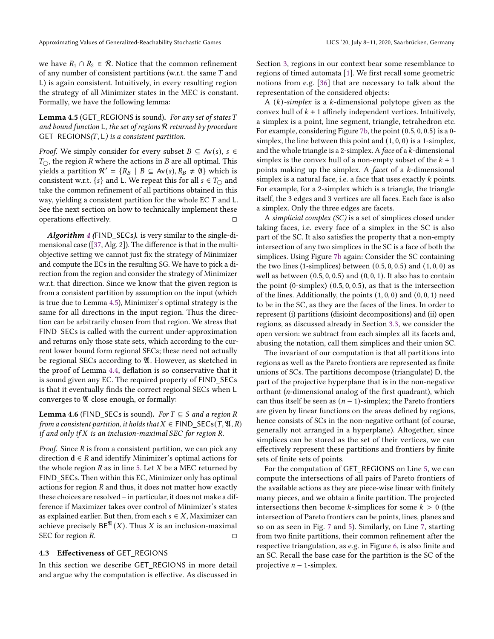we have  $R_1 \cap R_2 \in \mathcal{R}$ . Notice that the common refinement of any number of consistent partitions (w.r.t. the same  $T$  and L) is again consistent. Intuitively, in every resulting region the strategy of all Minimizer states in the MEC is constant. Formally, we have the following lemma:

<span id="page-10-1"></span>Lemma 4.5 (GET\_REGIONS is sound). For any set of states T and bound function L, the set of regions  $R$  returned by procedure GET\_REGIONS( $T$ , L) is a consistent partition.

*Proof.* We simply consider for every subset  $B \subseteq Av(s)$ ,  $s \in$  $T_{\bigcirc}$ , the region R where the actions in B are all optimal. This yields a partition  $\mathcal{R}' = \{R_B \mid B \subseteq Av(s), R_B \neq \emptyset\}$  which is consistent w.r.t. {s} and L. We repeat this for all  $s \in T_{\bigcirc}$  and take the common refinement of all partitions obtained in this way, yielding a consistent partition for the whole EC  $T$  and  $L$ . See the next section on how to technically implement these operations effectively.

Algorithm [4](#page-9-2) (FIND\_SECs). is very similar to the single-dimensional case ([\[37,](#page-13-16) Alg. 2]). The difference is that in the multiobjective setting we cannot just fix the strategy of Minimizer and compute the ECs in the resulting SG. We have to pick a direction from the region and consider the strategy of Minimizer w.r.t. that direction. Since we know that the given region is from a consistent partition by assumption on the input (which is true due to Lemma [4.5\)](#page-10-1), Minimizer's optimal strategy is the same for all directions in the input region. Thus the direction can be arbitrarily chosen from that region. We stress that FIND SECs is called with the current under-approximation and returns only those state sets, which according to the current lower bound form regional SECs; these need not actually be regional SECs according to  $\mathfrak A$ . However, as sketched in the proof of Lemma [4.4,](#page-9-4) deflation is so conservative that it is sound given any EC. The required property of FIND\_SECs is that it eventually finds the correct regional SECs when L converges to  $\mathfrak A$  close enough, or formally:

<span id="page-10-2"></span>**Lemma 4.6** (FIND\_SECs is sound). For  $T \subseteq S$  and a region R from a consistent partition, it holds that  $X \in {\sf FIND\_SECs}(T, \mathfrak{A}, R)$ if and only if  $X$  is an inclusion-maximal SEC for region  $R$ .

*Proof.* Since  $R$  is from a consistent partition, we can pick any direction  $d \in R$  and identify Minimizer's optimal actions for the whole region  $R$  as in line [5.](#page-9-2) Let  $X$  be a MEC returned by FIND\_SECs. Then within this EC, Minimizer only has optimal actions for region  $R$  and thus, it does not matter how exactly these choices are resolved – in particular, it does not make a difference if Maximizer takes over control of Minimizer's states as explained earlier. But then, from each  $s \in X$ , Maximizer can achieve precisely  $BE^{X}(X)$ . Thus X is an inclusion-maximal SEC for region  $R$ .

#### <span id="page-10-0"></span>4.3 Effectiveness of GET\_REGIONS

In this section we describe GET\_REGIONS in more detail and argue why the computation is effective. As discussed in

Section [3,](#page-4-0) regions in our context bear some resemblance to regions of timed automata [\[1\]](#page-12-2). We first recall some geometric notions from e.g. [\[36\]](#page-13-20) that are necessary to talk about the representation of the considered objects:

A  $(k)$ -simplex is a k-dimensional polytope given as the convex hull of  $k + 1$  affinely independent vertices. Intuitively, a simplex is a point, line segment, triangle, tetrahedron etc. For example, considering Figure [7b,](#page-7-1) the point (0.5, 0, 0.5) is a 0 simplex, the line between this point and  $(1, 0, 0)$  is a 1-simplex, and the whole triangle is a 2-simplex. A face of a  $k$ -dimensional simplex is the convex hull of a non-empty subset of the  $k + 1$ points making up the simplex. A *facet* of a  $k$ -dimensional simplex is a natural face, i.e. a face that uses exactly  $k$  points. For example, for a 2-simplex which is a triangle, the triangle itself, the 3 edges and 3 vertices are all faces. Each face is also a simplex. Only the three edges are facets.

A simplicial complex (SC) is a set of simplices closed under taking faces, i.e. every face of a simplex in the SC is also part of the SC. It also satisfies the property that a non-empty intersection of any two simplices in the SC is a face of both the simplices. Using Figure [7b](#page-7-1) again: Consider the SC containing the two lines (1-simplices) between  $(0.5, 0, 0.5)$  and  $(1, 0, 0)$  as well as between  $(0.5, 0, 0.5)$  and  $(0, 0, 1)$ . It also has to contain the point (0-simplex) (0.5, 0, 0.5), as that is the intersection of the lines. Additionally, the points  $(1, 0, 0)$  and  $(0, 0, 1)$  need to be in the SC, as they are the faces of the lines. In order to represent (i) partitions (disjoint decompositions) and (ii) open regions, as discussed already in Section [3.3,](#page-5-3) we consider the open version: we subtract from each simplex all its facets and, abusing the notation, call them simplices and their union SC.

The invariant of our computation is that all partitions into regions as well as the Pareto frontiers are represented as finite unions of SCs. The partitions decompose (triangulate) D, the part of the projective hyperplane that is in the non-negative orthant ( $n$ -dimensional analog of the first quadrant), which can thus itself be seen as  $(n - 1)$ -simplex; the Pareto frontiers are given by linear functions on the areas defined by regions, hence consists of SCs in the non-negative orthant (of course, generally not arranged in a hyperplane). Altogether, since simplices can be stored as the set of their vertices, we can effectively represent these partitions and frontiers by finite sets of finite sets of points.

For the computation of GET\_REGIONS on Line [5,](#page-9-0) we can compute the intersections of all pairs of Pareto frontiers of the available actions as they are piece-wise linear with finitely many pieces, and we obtain a finite partition. The projected intersections then become *k*-simplices for some  $k > 0$  (the intersection of Pareto frontiers can be points, lines, planes and so on as seen in Fig. [7](#page-7-1) and [5\)](#page-6-0). Similarly, on Line [7,](#page-9-0) starting from two finite partitions, their common refinement after the respective triangulation, as e.g. in Figure [6,](#page-6-1) is also finite and an SC. Recall the base case for the partition is the SC of the projective  $n - 1$ -simplex.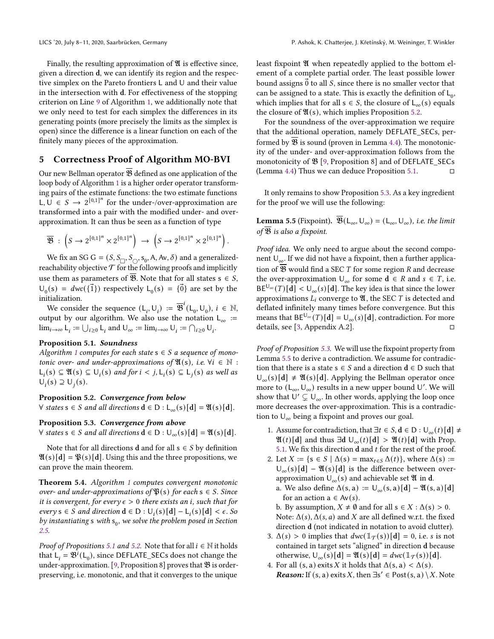Finally, the resulting approximation of  $\mathfrak V$  is effective since, given a direction d, we can identify its region and the respective simplex on the Pareto frontiers L and U and their value in the intersection with d. For effectiveness of the stopping criterion on Line [9](#page-8-0) of Algorithm [1,](#page-8-0) we additionally note that we only need to test for each simplex the differences in its generating points (more precisely the limits as the simplex is open) since the difference is a linear function on each of the finitely many pieces of the approximation.

# <span id="page-11-0"></span>5 Correctness Proof of Algorithm MO-BVI

Our new Bellman operator  $\overline{\mathfrak{B}}$  defined as one application of the loop body of Algorithm [1](#page-8-0) is a higher order operator transforming pairs of the estimate functions: the two estimate functions L, U ∈  $S$  →  $2^{[0,1]^n}$  for the under-/over-approximation are transformed into a pair with the modified under- and overapproximation. It can thus be seen as a function of type

$$
\overline{\mathfrak{B}} \; : \; \left( S \to 2^{\llbracket 0,1 \rrbracket^n} \times 2^{\llbracket 0,1 \rrbracket^n} \right) \; \to \; \left( S \to 2^{\llbracket 0,1 \rrbracket^n} \times 2^{\llbracket 0,1 \rrbracket^n} \right).
$$

We fix an SG G =  $(S, S_{\Box}, S_{\Diamond}, s_0, A, Av, \delta)$  and a generalizedreachability objective  ${\mathcal T}$  for the following proofs and implicitly use them as parameters of  $\mathfrak{B}$ . Note that for all states  $s \in S$ ,  $U_0(s) = dwc(\{\vec{1}\})$  respectively  $L_0(s) = \{\vec{0}\}\$ are set by the initialization.

We consider the sequence  $(L_i, U_i) := \overline{\mathfrak{B}}^i(L_0, U_0)$ ,  $i \in \mathbb{N}$ , output by our algorithm. We also use the notation  $L_{\infty}$  :=  $\lim_{i\to\infty} L_i := \bigcup_{i\geq 0} L_i$  and  $\bigcup_{\infty} := \lim_{i\to\infty} U_i := \bigcap_{i\geq 0} U_i$ .

#### <span id="page-11-1"></span>Proposition 5.1. Soundness

Algorithm [1](#page-8-0) computes for each state  $s \in S$  a sequence of monotonic over- and under-approximations of  $\mathfrak{A}(s)$ , i.e.  $\forall i \in \mathbb{N}$  :  $L_i(s) ⊆ ℜ(s) ⊆ U_i(s)$  and for  $i < j$ ,  $L_i(s) ⊆ L_i(s)$  as well as  $\overline{U}_i(s) \supseteq U_i(s)$ .

#### <span id="page-11-2"></span>Proposition 5.2. Convergence from below

 $\forall$  states s ∈ S and all directions  $\mathbf{d} \in D : L_{\infty}(s)[\mathbf{d}] = \mathfrak{A}(s)[\mathbf{d}].$ 

## <span id="page-11-3"></span>Proposition 5.3. Convergence from above

 $\forall$  states s ∈ S and all directions  $\mathbf{d}$  ∈ D :  $\bigcup_{\infty}$  (s)  $\mathbf{d}$  =  $\mathfrak{A}(s)$   $\mathbf{d}$ .

Note that for all directions **d** and for all  $s \in S$  by definition  $\mathfrak{A}(s)[d] = \mathfrak{B}(s)[d]$ . Using this and the three propositions, we can prove the main theorem.

Theorem 5.4. Algorithm [1](#page-8-0) computes convergent monotonic over- and under-approximations of  $\mathfrak{P}(s)$  for each  $s \in S$ . Since it is convergent, for every  $\epsilon > 0$  there exists an i, such that for every  $s \in S$  and direction  $d \in D : U_i(s)[d] - L_i(s)[d] < \epsilon$ . So by instantiating s with  $s_0$ , we solve the problem posed in Section [2.5.](#page-3-3)

*Proof of Propositions [5.1](#page-11-1) and [5.2.](#page-11-2)* Note that for all  $i \in \mathbb{N}$  it holds that  $L_i = \mathfrak{B}^i(L_0)$ , since DEFLATE\_SECs does not change the under-approximation. [\[9,](#page-12-6) Proposition 8] proves that  $\mathfrak B$  is orderpreserving, i.e. monotonic, and that it converges to the unique

least fixpoint  $\mathfrak V$  when repeatedly applied to the bottom element of a complete partial order. The least possible lower bound assigns  $\vec{0}$  to all S, since there is no smaller vector that can be assigned to a state. This is exactly the definition of  $L_0$ , which implies that for all s  $\in S$ , the closure of L<sub>∞</sub>(s) equals the closure of  $\mathfrak{A}(s)$ , which implies Proposition [5.2.](#page-11-2)

For the soundness of the over-approximation we require that the additional operation, namely DEFLATE\_SECs, performed by  $\overline{\mathfrak{B}}$  is sound (proven in Lemma [4.4\)](#page-9-4). The monotonicity of the under- and over-approximation follows from the monotonicity of  $\mathfrak{B}$  [\[9,](#page-12-6) Proposition 8] and of DEFLATE\_SECs (Lemma [4.4\)](#page-9-4) Thus we can deduce Proposition [5.1.](#page-11-1)

It only remains to show Proposition [5.3.](#page-11-3) As a key ingredient for the proof we will use the following:

<span id="page-11-4"></span>**Lemma 5.5** (Fixpoint).  $\overline{\mathfrak{B}}(\mathsf{L}_{\infty}, \mathsf{U}_{\infty}) = (\mathsf{L}_{\infty}, \mathsf{U}_{\infty})$ , *i.e. the limit* of  $\overline{\mathfrak{B}}$  is also a fixpoint.

Proof idea. We only need to argue about the second component  $\mathsf{U}_\infty$  If we did not have a fixpoint, then a further application of  $\mathfrak B$  would find a SEC  $T$  for some region  $R$  and decrease the over-approximation  $\bigcup_{\infty}$  for some  $d \in R$  and  $s \in T$ , i.e.  $BE^{\cup_{\infty}}(T)[d] < U_{\infty}(s)[d]$ . The key idea is that since the lower approximations  $L_i$  converge to  $\mathfrak{A}$ , the SEC T is detected and deflated infinitely many times before convergence. But this means that  $BE^{U_{\infty}}(T)[d] = U_{\infty}(s)[d]$ , contradiction. For more details, see [\[3,](#page-12-7) Appendix A.2].

Proof of Proposition [5.3.](#page-11-3) We will use the fixpoint property from Lemma [5.5](#page-11-4) to derive a contradiction. We assume for contradiction that there is a state  $s \in S$  and a direction  $d \in D$  such that  $U_{\infty}(s)[d] \neq \mathfrak{A}(s)[d]$ . Applying the Bellman operator once more to  $(L_{\infty}, U_{\infty})$  results in a new upper bound U'. We will show that  $U' \subsetneq U_{\infty}$ . In other words, applying the loop once more decreases the over-approximation. This is a contradiction to  $U_{\infty}$  being a fixpoint and proves our goal.

- 1. Assume for contradiction, that  $\exists t \in S, d \in D : U_{\infty}(t)[d] \neq$  $\mathfrak{A}(t)[d]$  and thus  $\exists d \cup_{\infty}(t)[d] > \mathfrak{A}(t)[d]$  with Prop. [5.1.](#page-11-1) We fix this direction  $d$  and  $t$  for the rest of the proof.
- 2. Let  $X := \{s \in S \mid \Delta(s) = \max_{t \in S} \Delta(t)\}\)$ , where  $\Delta(s) :=$  $U_{\infty}(s)[d] - \mathfrak{A}(s)[d]$  is the difference between overapproximation  $\cup_{\infty} (s)$  and achievable set  $\mathfrak A$  in d.
	- a. We also define  $\Delta(s, a) := U_{\infty}(s, a) [d] \mathfrak{A}(s, a) [d]$ for an action  $a \in Av(s)$ .

b. By assumption,  $X \neq \emptyset$  and for all  $s \in X : \Delta(s) > 0$ . Note:  $\Delta(s)$ ,  $\Delta(s, a)$  and X are all defined w.r.t. the fixed direction d (not indicated in notation to avoid clutter).

- <span id="page-11-5"></span>3.  $\Delta(s) > 0$  implies that  $dwc(\mathbb{1}_{\mathcal{T}}(s))[d] = 0$ , i.e. *s* is not contained in target sets "aligned" in direction d because otherwise,  $U_{\infty}(s)[d] = \mathfrak{A}(s)[d] = dwc(\mathbb{1}_{\mathcal{T}}(s))[d]$ .
- <span id="page-11-6"></span>4. For all  $(s, a)$  exits X it holds that  $\Delta(s, a) < \Delta(s)$ . **Reason:** If  $(s, a)$  exits X, then  $\exists s' \in Post(s, a) \setminus X$ . Note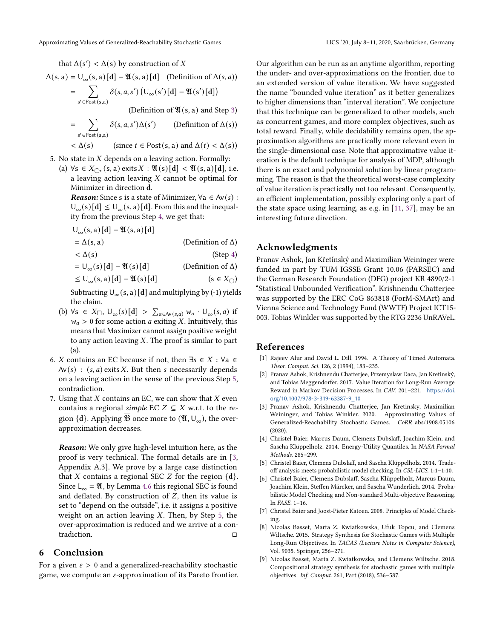that  $\Delta(s') < \Delta(s)$  by construction of X

$$
\Delta(s, a) = U_{\infty}(s, a) [d] - \mathfrak{A}(s, a) [d] \quad \text{(Definition of } \Delta(s, a))
$$

$$
= \sum_{s' \in Post(s,a)} \delta(s, a, s') \left( U_{\infty}(s')[d] - \mathfrak{A}(s')[d] \right)
$$
  
(Definition of  $\mathfrak{A}(s, a)$  and Step 3)

$$
= \sum_{s' \in \text{Post}(s,a)} \delta(s,a,s')\Delta(s') \qquad \text{(Definition of } \Delta(s))
$$

$$
\langle \Delta(s) \rangle \qquad \text{(since } t \in \text{Post}(s, a) \text{ and } \Delta(t) < \Delta(s) \text{)}
$$

5. No state in  $X$  depends on a leaving action. Formally:

(a)  $\forall s \in X_{\bigcirc}$ ,  $(s, a)$  exits  $X : \mathfrak{A}(s)[d] < \mathfrak{A}(s, a)[d]$ , i.e. a leaving action leaving  $X$  cannot be optimal for Minimizer in direction d.

**Reason:** Since s is a state of Minimizer,  $\forall a \in Av(s)$ :  $U_{\infty}(s)[d] \leq U_{\infty}(s, a)[d]$ . From this and the inequality from the previous Step [4,](#page-11-6) we get that:

$$
U_{\infty}(s, a) [d] - \mathfrak{A}(s, a) [d]
$$
  
=  $\Delta(s, a)$  (Definition of  $\Delta$ )  
<  $\Delta(s)$  (Step 4)  
=  $U_{\infty}(s)[d] - \mathfrak{A}(s)[d]$  (Definition of  $\Delta$ )

 $\leq U_{\infty}(s, a) [d] - \mathfrak{A}(s) [d]$  (s  $\in X_{\cap}$ )

Subtracting  $U_{\infty}(s, a) [\mathbf{d}]$  and multiplying by (-1) yields the claim.

- <span id="page-12-10"></span>(b)  $\forall s \in X_{\Box}, \bigcup_{\infty}(s)[d] > \sum_{a \in Av(s,a)} w_a \cdot \bigcup_{\infty}(s,a)$  if  $w_a > 0$  for some action *a* exiting *X*. Intuitively, this means that Maximizer cannot assign positive weight to any action leaving  $X$ . The proof is similar to part (a).
- 6. *X* contains an EC because if not, then  $\exists s \in X : \forall a \in \mathbb{R}$  $Av(s)$ :  $(s, a)$  exits X. But then s necessarily depends on a leaving action in the sense of the previous Step [5,](#page-12-10) contradiction.
- 7. Using that  $X$  contains an EC, we can show that  $X$  even contains a regional simple EC  $Z \subseteq X$  w.r.t. to the region {**d**}. Applying  $\overline{\mathfrak{B}}$  once more to  $(\mathfrak{A}, \mathsf{U}_{\infty})$ , the overapproximation decreases.

Reason: We only give high-level intuition here, as the proof is very technical. The formal details are in [\[3,](#page-12-7) Appendix A.3]. We prove by a large case distinction that X contains a regional SEC Z for the region  $\{d\}$ . Since  $L_{\infty} = \mathfrak{A}$ , by Lemma [4.6](#page-10-2) this regional SEC is found and deflated. By construction of  $Z$ , then its value is set to "depend on the outside", i.e. it assigns a positive weight on an action leaving  $X$ . Then, by Step [5,](#page-12-10) the over-approximation is reduced and we arrive at a contradiction.

## <span id="page-12-8"></span>6 Conclusion

For a given  $\varepsilon > 0$  and a generalized-reachability stochastic game, we compute an  $\varepsilon$ -approximation of its Pareto frontier. Our algorithm can be run as an anytime algorithm, reporting the under- and over-approximations on the frontier, due to an extended version of value iteration. We have suggested the name "bounded value iteration" as it better generalizes to higher dimensions than "interval iteration". We conjecture that this technique can be generalized to other models, such as concurrent games, and more complex objectives, such as total reward. Finally, while decidability remains open, the approximation algorithms are practically more relevant even in the single-dimensional case. Note that approximative value iteration is the default technique for analysis of MDP, although there is an exact and polynomial solution by linear programming. The reason is that the theoretical worst-case complexity of value iteration is practically not too relevant. Consequently, an efficient implementation, possibly exploring only a part of the state space using learning, as e.g. in [\[11,](#page-13-14) [37\]](#page-13-16), may be an interesting future direction.

## Acknowledgments

Pranav Ashok, Jan Křetínský and Maximilian Weininger were funded in part by TUM IGSSE Grant 10.06 (PARSEC) and the German Research Foundation (DFG) project KR 4890/2-1 "Statistical Unbounded Verification". Krishnendu Chatterjee was supported by the ERC CoG 863818 (ForM-SMArt) and Vienna Science and Technology Fund (WWTF) Project ICT15- 003. Tobias Winkler was supported by the RTG 2236 UnRAVeL.

## References

- <span id="page-12-2"></span>[1] Rajeev Alur and David L. Dill. 1994. A Theory of Timed Automata. Theor. Comput. Sci. 126, 2 (1994), 183–235.
- <span id="page-12-1"></span>[2] Pranav Ashok, Krishnendu Chatterjee, Przemyslaw Daca, Jan Kretínský, and Tobias Meggendorfer. 2017. Value Iteration for Long-Run Average Reward in Markov Decision Processes. In CAV. 201–221. [https://doi.](https://doi.org/10.1007/978-3-319-63387-9_10) [org/10.1007/978-3-319-63387-9\\_10](https://doi.org/10.1007/978-3-319-63387-9_10)
- <span id="page-12-7"></span>[3] Pranav Ashok, Krishnendu Chatterjee, Jan Kretinsky, Maximilian Weininger, and Tobias Winkler. 2020. Approximating Values of Generalized-Reachability Stochastic Games. CoRR abs/1908.05106 (2020).
- <span id="page-12-3"></span>[4] Christel Baier, Marcus Daum, Clemens Dubslaff, Joachim Klein, and Sascha Klüppelholz. 2014. Energy-Utility Quantiles. In NASA Formal Methods. 285–299.
- <span id="page-12-4"></span>[5] Christel Baier, Clemens Dubslaff, and Sascha Klüppelholz. 2014. Tradeoff analysis meets probabilistic model checking. In CSL-LICS. 1:1–1:10.
- <span id="page-12-5"></span>[6] Christel Baier, Clemens Dubslaff, Sascha Klüppelholz, Marcus Daum, Joachim Klein, Steffen Märcker, and Sascha Wunderlich. 2014. Probabilistic Model Checking and Non-standard Multi-objective Reasoning. In FASE. 1–16.
- <span id="page-12-9"></span>[7] Christel Baier and Joost-Pieter Katoen. 2008. Principles of Model Checking.
- <span id="page-12-0"></span>[8] Nicolas Basset, Marta Z. Kwiatkowska, Ufuk Topcu, and Clemens Wiltsche. 2015. Strategy Synthesis for Stochastic Games with Multiple Long-Run Objectives. In TACAS (Lecture Notes in Computer Science), Vol. 9035. Springer, 256–271.
- <span id="page-12-6"></span>[9] Nicolas Basset, Marta Z. Kwiatkowska, and Clemens Wiltsche. 2018. Compositional strategy synthesis for stochastic games with multiple objectives. Inf. Comput. 261, Part (2018), 536–587.